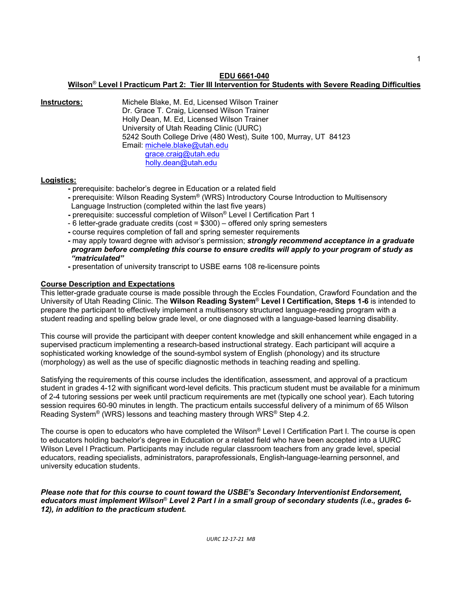#### **EDU 6661-040**

## **Wilson**® **Level I Practicum Part 2: Tier III Intervention for Students with Severe Reading Difficulties**

**Instructors:** Michele Blake, M. Ed, Licensed Wilson Trainer Dr. Grace T. Craig, Licensed Wilson Trainer Holly Dean, M. Ed, Licensed Wilson Trainer University of Utah Reading Clinic (UURC) 5242 South College Drive (480 West), Suite 100, Murray, UT 84123 Email: [michele.blake@utah.edu](mailto:michele.blake@utah.edu) [grace.craig@utah.edu](mailto:grace.craig@utah.edu) [holly.dean@utah.edu](mailto:holly.dean@utah.edu)

### **Logistics:**

- **-** prerequisite: bachelor's degree in Education or a related field
- **-** prerequisite: Wilson Reading System® (WRS) Introductory Course Introduction to Multisensory Language Instruction (completed within the last five years)
- **-** prerequisite: successful completion of Wilson® Level I Certification Part 1
- 6 letter-grade graduate credits (cost = \$300) offered only spring semesters
- **-** course requires completion of fall and spring semester requirements
- **-** may apply toward degree with advisor's permission; *strongly recommend acceptance in a graduate program before completing this course to ensure credits will apply to your program of study as "matriculated"*
- **-** presentation of university transcript to USBE earns 108 re-licensure points

## **Course Description and Expectations**

This letter-grade graduate course is made possible through the Eccles Foundation, Crawford Foundation and the University of Utah Reading Clinic. The **Wilson Reading System**® **Level I Certification, Steps 1-6** is intended to prepare the participant to effectively implement a multisensory structured language-reading program with a student reading and spelling below grade level, or one diagnosed with a language-based learning disability.

This course will provide the participant with deeper content knowledge and skill enhancement while engaged in a supervised practicum implementing a research-based instructional strategy. Each participant will acquire a sophisticated working knowledge of the sound-symbol system of English (phonology) and its structure (morphology) as well as the use of specific diagnostic methods in teaching reading and spelling.

Satisfying the requirements of this course includes the identification, assessment, and approval of a practicum student in grades 4-12 with significant word-level deficits. This practicum student must be available for a minimum of 2-4 tutoring sessions per week until practicum requirements are met (typically one school year). Each tutoring session requires 60-90 minutes in length. The practicum entails successful delivery of a minimum of 65 Wilson Reading System® (WRS) lessons and teaching mastery through WRS® Step 4.2.

The course is open to educators who have completed the Wilson® Level I Certification Part I. The course is open to educators holding bachelor's degree in Education or a related field who have been accepted into a UURC Wilson Level I Practicum. Participants may include regular classroom teachers from any grade level, special educators, reading specialists, administrators, paraprofessionals, English-language-learning personnel, and university education students.

*Please note that for this course to count toward the USBE's Secondary Interventionist Endorsement, educators must implement Wilson*® *Level 2 Part I in a small group of secondary students (i.e., grades 6- 12), in addition to the practicum student.*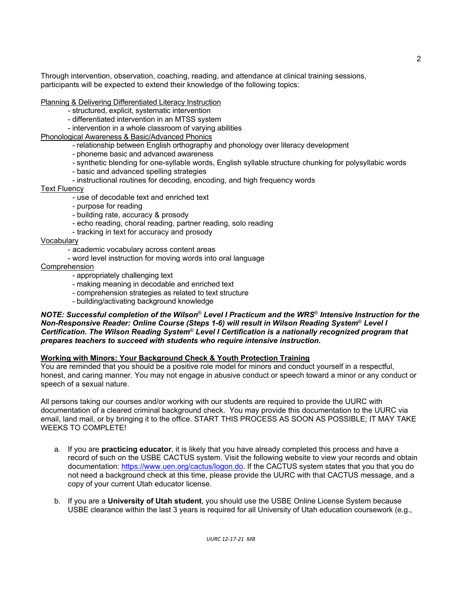Through intervention, observation, coaching, reading, and attendance at clinical training sessions, participants will be expected to extend their knowledge of the following topics:

Planning & Delivering Differentiated Literacy Instruction

- structured, explicit, systematic intervention
- differentiated intervention in an MTSS system
- intervention in a whole classroom of varying abilities

### Phonological Awareness & Basic/Advanced Phonics

- relationship between English orthography and phonology over literacy development

- phoneme basic and advanced awareness
- synthetic blending for one-syllable words, English syllable structure chunking for polysyllabic words
- basic and advanced spelling strategies
- instructional routines for decoding, encoding, and high frequency words

Text Fluency

- use of decodable text and enriched text
- purpose for reading
- building rate, accuracy & prosody
- echo reading, choral reading, partner reading, solo reading
- tracking in text for accuracy and prosody

Vocabulary

- academic vocabulary across content areas
- word level instruction for moving words into oral language

### Comprehension

- appropriately challenging text
- making meaning in decodable and enriched text
- comprehension strategies as related to text structure
- building/activating background knowledge

#### *NOTE: Successful completion of the Wilson*® *Level I Practicum and the WRS*® *Intensive Instruction for the Non-Responsive Reader: Online Course (Steps 1-6) will result in Wilson Reading System*® *Level I Certification. The Wilson Reading System*® *Level I Certification is a nationally recognized program that prepares teachers to succeed with students who require intensive instruction.*

### **Working with Minors: Your Background Check & Youth Protection Training**

You are reminded that you should be a positive role model for minors and conduct yourself in a respectful, honest, and caring manner. You may not engage in abusive conduct or speech toward a minor or any conduct or speech of a sexual nature.

All persons taking our courses and/or working with our students are required to provide the UURC with documentation of a cleared criminal background check. You may provide this documentation to the UURC via email, land mail, or by bringing it to the office. START THIS PROCESS AS SOON AS POSSIBLE; IT MAY TAKE WEEKS TO COMPLETE!

- a. If you are **practicing educator**, it is likely that you have already completed this process and have a record of such on the USBE CACTUS system. Visit the following website to view your records and obtain documentation: [https://www.uen.org/cactus/logon.do.](https://www.uen.org/cactus/logon.do) If the CACTUS system states that you that you do not need a background check at this time, please provide the UURC with that CACTUS message, and a copy of your current Utah educator license.
- b. If you are a **University of Utah student**, you should use the USBE Online License System because USBE clearance within the last 3 years is required for all University of Utah education coursework (e.g.,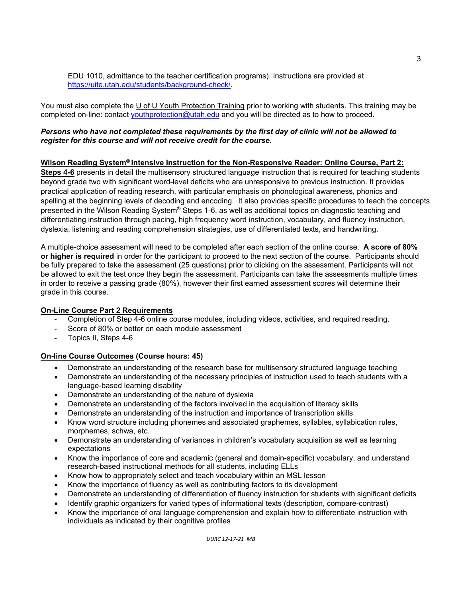EDU 1010, admittance to the teacher certification programs). Instructions are provided at [https://uite.utah.edu/students/background-check/.](https://uite.utah.edu/students/background-check/)

You must also complete the U of U Youth Protection Training prior to working with students. This training may be completed on-line: contact [youthprotection@utah.edu](mailto:youthprotection@utah.edu) and you will be directed as to how to proceed.

#### *Persons who have not completed these requirements by the first day of clinic will not be allowed to register for this course and will not receive credit for the course.*

### **Wilson Reading System® Intensive Instruction for the Non-Responsive Reader: Online Course, Part 2:**

**Steps 4-6** presents in detail the multisensory structured language instruction that is required for teaching students beyond grade two with significant word-level deficits who are unresponsive to previous instruction. It provides practical application of reading research, with particular emphasis on phonological awareness, phonics and spelling at the beginning levels of decoding and encoding. It also provides specific procedures to teach the concepts presented in the Wilson Reading System**®** Steps 1-6, as well as additional topics on diagnostic teaching and differentiating instruction through pacing, high frequency word instruction, vocabulary, and fluency instruction, dyslexia, listening and reading comprehension strategies, use of differentiated texts, and handwriting.

A multiple-choice assessment will need to be completed after each section of the online course. **A score of 80% or higher is required** in order for the participant to proceed to the next section of the course. Participants should be fully prepared to take the assessment (25 questions) prior to clicking on the assessment. Participants will not be allowed to exit the test once they begin the assessment. Participants can take the assessments multiple times in order to receive a passing grade (80%), however their first earned assessment scores will determine their grade in this course.

### **On-Line Course Part 2 Requirements**

- Completion of Step 4-6 online course modules, including videos, activities, and required reading.
- Score of 80% or better on each module assessment
- Topics II, Steps 4-6

### **On-line Course Outcomes (Course hours: 45)**

- Demonstrate an understanding of the research base for multisensory structured language teaching
- Demonstrate an understanding of the necessary principles of instruction used to teach students with a language-based learning disability
- Demonstrate an understanding of the nature of dyslexia
- Demonstrate an understanding of the factors involved in the acquisition of literacy skills
- Demonstrate an understanding of the instruction and importance of transcription skills
- Know word structure including phonemes and associated graphemes, syllables, syllabication rules, morphemes, schwa, etc.
- Demonstrate an understanding of variances in children's vocabulary acquisition as well as learning expectations
- Know the importance of core and academic (general and domain-specific) vocabulary, and understand research-based instructional methods for all students, including ELLs
- Know how to appropriately select and teach vocabulary within an MSL lesson
- Know the importance of fluency as well as contributing factors to its development
- Demonstrate an understanding of differentiation of fluency instruction for students with significant deficits
- Identify graphic organizers for varied types of informational texts (description, compare-contrast)
- Know the importance of oral language comprehension and explain how to differentiate instruction with individuals as indicated by their cognitive profiles

3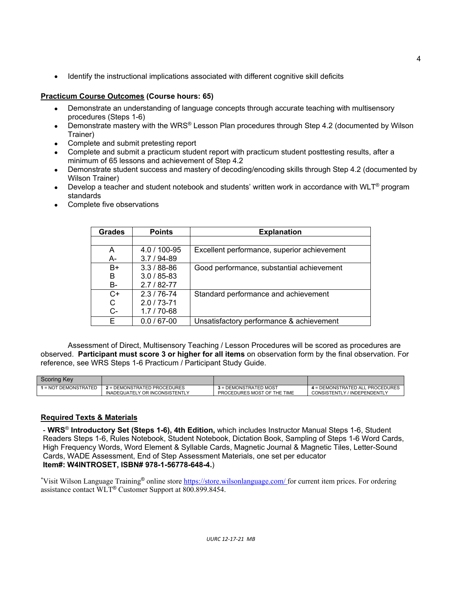• Identify the instructional implications associated with different cognitive skill deficits

## **Practicum Course Outcomes (Course hours: 65)**

- Demonstrate an understanding of language concepts through accurate teaching with multisensory procedures (Steps 1-6)
- Demonstrate mastery with the WRS® Lesson Plan procedures through Step 4.2 (documented by Wilson Trainer)
- Complete and submit pretesting report
- Complete and submit a practicum student report with practicum student posttesting results, after a minimum of 65 lessons and achievement of Step 4.2
- Demonstrate student success and mastery of decoding/encoding skills through Step 4.2 (documented by Wilson Trainer)
- Develop a teacher and student notebook and students' written work in accordance with WLT<sup>®</sup> program standards
- Complete five observations

| <b>Grades</b> | <b>Points</b>   | <b>Explanation</b>                          |  |
|---------------|-----------------|---------------------------------------------|--|
|               |                 |                                             |  |
| A             | 4.0 / 100-95    | Excellent performance, superior achievement |  |
| A-            | $3.7/94 - 89$   |                                             |  |
| $B+$          | $3.3/88 - 86$   | Good performance, substantial achievement   |  |
| B             | $3.0/85 - 83$   |                                             |  |
| B-            | $2.7/82 - 77$   |                                             |  |
| $C+$          | $2.3/76 - 74$   | Standard performance and achievement        |  |
| С             | $2.0/73 - 71$   |                                             |  |
| $C -$         | $1.7/70-68$     |                                             |  |
| F             | $0.0 / 67 - 00$ | Unsatisfactory performance & achievement    |  |

Assessment of Direct, Multisensory Teaching / Lesson Procedures will be scored as procedures are observed. **Participant must score 3 or higher for all items** on observation form by the final observation. For reference, see WRS Steps 1-6 Practicum / Participant Study Guide.

| <b>Scoring Key</b>   |                                    |                              |                                 |
|----------------------|------------------------------------|------------------------------|---------------------------------|
| 1 = NOT DEMONSTRATED | <b>2 = DEMONSTRATED PROCEDURES</b> | <b>3 = DEMONSTRATED MOST</b> | 4 = DEMONSTRATED ALL PROCEDURES |
|                      | INADEQUATELY OR INCONSISTENTLY     | PROCEDURES MOST OF THE TIME  | CONSISTENTLY / INDEPENDENTLY    |
|                      |                                    |                              |                                 |

## **Required Texts & Materials**

- **WRS**® **Introductory Set (Steps 1-6), 4th Edition,** which includes Instructor Manual Steps 1-6, Student Readers Steps 1-6, Rules Notebook, Student Notebook, Dictation Book, Sampling of Steps 1-6 Word Cards, High Frequency Words, Word Element & Syllable Cards, Magnetic Journal & Magnetic Tiles, Letter-Sound Cards, WADE Assessment, End of Step Assessment Materials, one set per educator **Item#: W4INTROSET, ISBN# 978-1-56778-648-4.**)

\*Visit Wilson Language Training® online stor[e https://store.wilsonlanguage.com/](https://store.wilsonlanguage.com/) for current item prices. For ordering assistance contact WLT® Customer Support at 800.899.8454.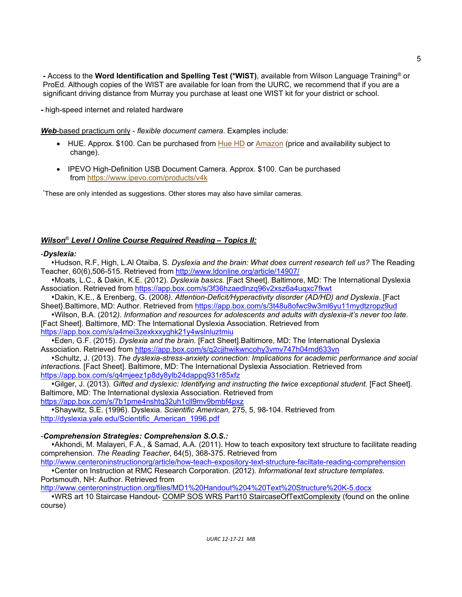*-* Access to the **Word Identification and Spelling Test (\*WIST)**, available from Wilson Language Training® or ProEd. Although copies of the WIST are available for loan from the UURC, we recommend that if you are a significant driving distance from Murray you purchase at least one WIST kit for your district or school.

**-** high-speed internet and related hardware

*Web*-based practicum only - *flexible document camera*. Examples include:

- HUE. Approx. \$100. Can be purchased from  $H$ ue HD or [Amazon](https://www.amazon.com/HUE-Document-Camera-Windows-Chrome/dp/B00U7LV3UI/?keywords=HUE+Document+camera+windows+clue) (price and availability subject to change).
- IPEVO High-Definition USB Document Camera. Approx. \$100. Can be purchased from <https://www.ipevo.com/products/v4k>

\* These are only intended as suggestions. Other stores may also have similar cameras.

## *Wilson*® *Level I Online Course Required Reading – Topics II:*

### -*Dyslexia:*

 Hudson, R.F, High, L.Al Otaiba, S*. Dyslexia and the brain: What does current research tell us?* The Reading Teacher, 60(6),506-515. Retrieved from<http://www.ldonline.org/article/14907/>

 Moats, L.C., & Dakin, K.E. (2012). *Dyslexia basics.* [Fact Sheet]. Baltimore, MD: The International Dyslexia Association. Retrieved from<https://app.box.com/s/3f36hzaedlnzq96v2xsz6a4uqxc7fkwt>

 Dakin, K.E., & Erenberg, G. (2008*). Attention-Deficit/Hyperactivity disorder (AD/HD) and Dyslexia*. [Fact Sheet}.Baltimore, MD: Author. Retrieved from<https://app.box.com/s/3t48u8ofwc9w3ml6yu11mydtzropz9ud>

 Wilson, B.A. (2012*). Information and resources for adolescents and adults with dyslexia-it's never too late.* [Fact Sheet]. Baltimore, MD: The International Dyslexia Association. Retrieved from <https://app.box.com/s/a4mei3zexkxxyghk21y4wslnluztmiu>

 Eden, G.F. (2015). *Dyslexia and the brain.* [Fact Sheet].Baltimore, MD: The International Dyslexia Association. Retrieved from<https://app.box.com/s/q2cjihwikwncohy3vmv747h04md633vn>

 Schultz, J. (2013). *The dyslexia-stress-anxiety connection: Implications for academic performance and social interactions.* [Fact Sheet]. Baltimore, MD: The International Dyslexia Association. Retrieved from <https://app.box.com/s/q4mjeez1p8dy8ylb24dappq931r85xfz>

 Gilger, J. (2013). *Gifted and dyslexic: Identifying and instructing the twice exceptional student.* [Fact Sheet]. Baltimore, MD: The International dyslexia Association. Retrieved from

<https://app.box.com/s/7b1pme4nshtq32uh1cll9mv9bmbf4pxz>

 Shaywitz, S.E. (1996). Dyslexia. *Scientific American,* 275, 5, 98-104. Retrieved from [http://dyslexia.yale.edu/Scientific\\_American\\_1996.pdf](http://dyslexia.yale.edu/Scientific_American_1996.pdf)

## -*Comprehension Strategies: Comprehension S.O.S.:*

 Akhondi, M. Malayeri, F.A., & Samad, A.A. (2011). How to teach expository text structure to facilitate reading comprehension. *The Reading Teacher*, 64(5), 368-375. Retrieved from

<http://www.centeroninstructionorg/article/how-teach-expository-text-structure-faciltate-reading-comprehension> Center on Instruction at RMC Research Corporation. (2012). *Informational text structure templates.* Portsmouth, NH: Author. Retrieved from

<http://www.centeroninstruction.org/files/MD1%20Handout%204%20Text%20Structure%20K-5.docx>

 WRS art 10 Staircase Handout- COMP SOS WRS Part10 StaircaseOfTextComplexity (found on the online course)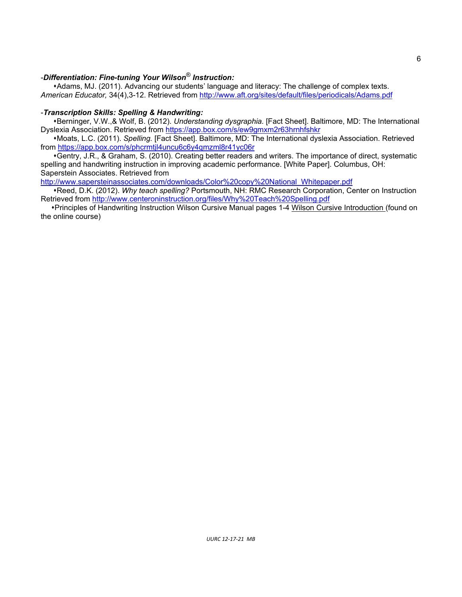### -*Differentiation: Fine-tuning Your Wilson*® *Instruction:*

 Adams, MJ. (2011). Advancing our students' language and literacy: The challenge of complex texts. *American Educator,* 34(4),3-12. Retrieved from<http://www.aft.org/sites/default/files/periodicals/Adams.pdf>

#### -*Transcription Skills: Spelling & Handwriting:*

 Berninger, V.W.,& Wolf, B. (2012). *Understanding dysgraphia.* [Fact Sheet]. Baltimore, MD: The International Dyslexia Association. Retrieved from<https://app.box.com/s/ew9gmxm2r63hrnhfshkr>

 Moats, L.C. (2011). *Spelling.* [Fact Sheet]. Baltimore, MD: The International dyslexia Association. Retrieved from<https://app.box.com/s/phcrmtjl4uncu6c6y4qmzml8r41yc06r>

 Gentry, J.R., & Graham, S. (2010). Creating better readers and writers. The importance of direct, systematic spelling and handwriting instruction in improving academic performance. [White Paper]. Columbus, OH: Saperstein Associates. Retrieved from

[http://www.sapersteinassociates.com/downloads/Color%20copy%20National\\_Whitepaper.pdf](http://www.sapersteinassociates.com/downloads/Color%20copy%20National_Whitepaper.pdf)

\*Reed, D.K. (2012). Why teach spelling? Portsmouth, NH: RMC Research Corporation, Center on Instruction Retrieved from<http://www.centeroninstruction.org/files/Why%20Teach%20Spelling.pdf>

 Principles of Handwriting Instruction Wilson Cursive Manual pages 1-4 Wilson Cursive Introduction (found on the online course)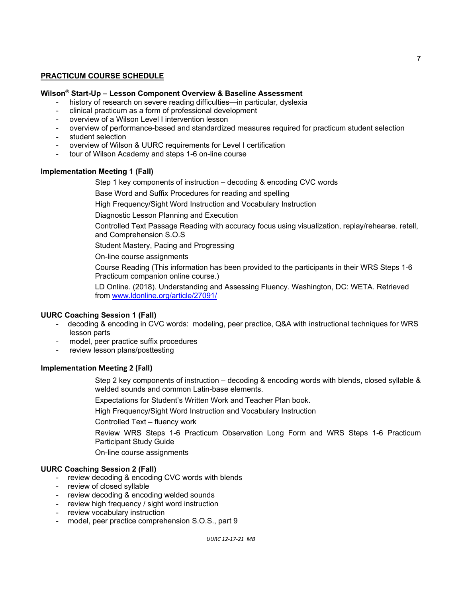#### **PRACTICUM COURSE SCHEDULE**

#### **Wilson**® **Start-Up – Lesson Component Overview & Baseline Assessment**

- history of research on severe reading difficulties—in particular, dyslexia
- clinical practicum as a form of professional development
- overview of a Wilson Level I intervention lesson
- overview of performance-based and standardized measures required for practicum student selection
- student selection
- overview of Wilson & UURC requirements for Level I certification
- tour of Wilson Academy and steps 1-6 on-line course

#### **Implementation Meeting 1 (Fall)**

- Step 1 key components of instruction decoding & encoding CVC words
- Base Word and Suffix Procedures for reading and spelling
- High Frequency/Sight Word Instruction and Vocabulary Instruction
- Diagnostic Lesson Planning and Execution
- Controlled Text Passage Reading with accuracy focus using visualization, replay/rehearse. retell, and Comprehension S.O.S
- Student Mastery, Pacing and Progressing
- On-line course assignments
- Course Reading (This information has been provided to the participants in their WRS Steps 1-6 Practicum companion online course.)
- LD Online. (2018). Understanding and Assessing Fluency. Washington, DC: WETA. Retrieved from [www.ldonline.org/article/27091/](http://www.ldonline.org/article/27091/)

#### **UURC Coaching Session 1 (Fall)**

- decoding & encoding in CVC words: modeling, peer practice, Q&A with instructional techniques for WRS lesson parts
- model, peer practice suffix procedures
- review lesson plans/posttesting

#### **Implementation Meeting 2 (Fall)**

Step 2 key components of instruction – decoding & encoding words with blends, closed syllable & welded sounds and common Latin-base elements.

Expectations for Student's Written Work and Teacher Plan book.

High Frequency/Sight Word Instruction and Vocabulary Instruction

Controlled Text – fluency work

Review WRS Steps 1-6 Practicum Observation Long Form and WRS Steps 1-6 Practicum Participant Study Guide

On-line course assignments

#### **UURC Coaching Session 2 (Fall)**

- review decoding & encoding CVC words with blends
- review of closed syllable
- review decoding & encoding welded sounds
- review high frequency / sight word instruction
- review vocabulary instruction
- model, peer practice comprehension S.O.S., part 9

7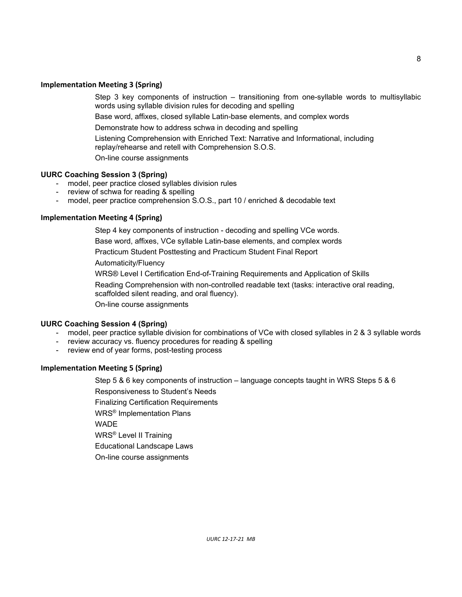#### **Implementation Meeting 3 (Spring)**

Step 3 key components of instruction – transitioning from one-syllable words to multisyllabic words using syllable division rules for decoding and spelling

Base word, affixes, closed syllable Latin-base elements, and complex words

Demonstrate how to address schwa in decoding and spelling

Listening Comprehension with Enriched Text: Narrative and Informational, including replay/rehearse and retell with Comprehension S.O.S.

On-line course assignments

### **UURC Coaching Session 3 (Spring)**

- model, peer practice closed syllables division rules
- review of schwa for reading & spelling
- model, peer practice comprehension S.O.S., part 10 / enriched & decodable text

### **Implementation Meeting 4 (Spring)**

Step 4 key components of instruction - decoding and spelling VCe words.

Base word, affixes, VCe syllable Latin-base elements, and complex words

Practicum Student Posttesting and Practicum Student Final Report

Automaticity/Fluency

WRS® Level I Certification End-of-Training Requirements and Application of Skills

Reading Comprehension with non-controlled readable text (tasks: interactive oral reading, scaffolded silent reading, and oral fluency).

On-line course assignments

#### **UURC Coaching Session 4 (Spring)**

- model, peer practice syllable division for combinations of VCe with closed syllables in 2 & 3 syllable words
- review accuracy vs. fluency procedures for reading & spelling
- review end of year forms, post-testing process

### **Implementation Meeting 5 (Spring)**

Step 5 & 6 key components of instruction – language concepts taught in WRS Steps 5 & 6 Responsiveness to Student's Needs

Finalizing Certification Requirements

WRS® Implementation Plans

WADE

WRS® Level II Training

Educational Landscape Laws

On-line course assignments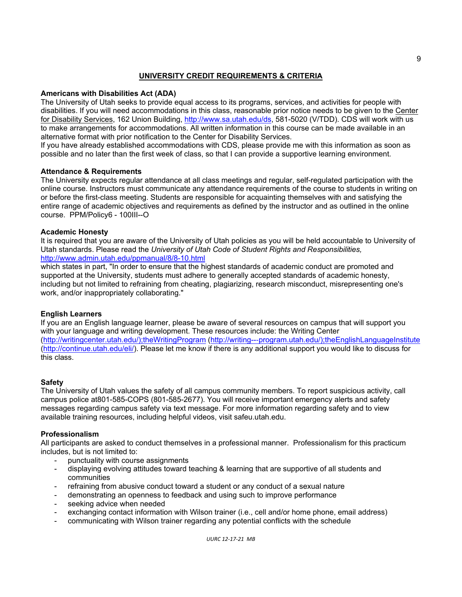### **UNIVERSITY CREDIT REQUIREMENTS & CRITERIA**

### **Americans with Disabilities Act (ADA)**

The University of Utah seeks to provide equal access to its programs, services, and activities for people with disabilities. If you will need accommodations in this class, reasonable prior notice needs to be given to the Center for Disability Services, 162 Union Building, [http://www.sa.utah.edu/ds,](http://www.sa.utah.edu/ds) 581-5020 (V/TDD). CDS will work with us to make arrangements for accommodations. All written information in this course can be made available in an alternative format with prior notification to the Center for Disability Services.

If you have already established accommodations with CDS, please provide me with this information as soon as possible and no later than the first week of class, so that I can provide a supportive learning environment.

#### **Attendance & Requirements**

The University expects regular attendance at all class meetings and regular, self-regulated participation with the online course. Instructors must communicate any attendance requirements of the course to students in writing on or before the first-class meeting. Students are responsible for acquainting themselves with and satisfying the entire range of academic objectives and requirements as defined by the instructor and as outlined in the online course. PPM/Policy6 - 100III--O

#### **Academic Honesty**

It is required that you are aware of the University of Utah policies as you will be held accountable to University of Utah standards. Please read the *University of Utah Code of Student Rights and Responsibilities,* <http://www.admin.utah.edu/ppmanual/8/8-10.html>

which states in part, "In order to ensure that the highest standards of academic conduct are promoted and supported at the University, students must adhere to generally accepted standards of academic honesty, including but not limited to refraining from cheating, plagiarizing, research misconduct, misrepresenting one's work, and/or inappropriately collaborating."

### **English Learners**

If you are an English language learner, please be aware of several resources on campus that will support you with your language and writing development. These resources include: the Writing Center [\(http://writingcenter.utah.edu/\);theWritingProgram](http://writingcenter.utah.edu/);theWritingProgram) (http://writing--‐[program.utah.edu/\);theEnglishLanguageInstitute](http://writing--%E2%80%90program.utah.edu/);theEnglishLanguageInstitute) [\(http://continue.utah.edu/eli/\)](http://continue.utah.edu/eli/). Please let me know if there is any additional support you would like to discuss for this class.

### **Safety**

The University of Utah values the safety of all campus community members. To report suspicious activity, call campus police at801-585-COPS (801-585-2677). You will receive important emergency alerts and safety messages regarding campus safety via text message. For more information regarding safety and to view available training resources, including helpful videos, visit safeu.utah.edu.

#### **Professionalism**

All participants are asked to conduct themselves in a professional manner. Professionalism for this practicum includes, but is not limited to:

- punctuality with course assignments
- displaying evolving attitudes toward teaching & learning that are supportive of all students and communities
- refraining from abusive conduct toward a student or any conduct of a sexual nature
- demonstrating an openness to feedback and using such to improve performance
- seeking advice when needed
- exchanging contact information with Wilson trainer (i.e., cell and/or home phone, email address)
- communicating with Wilson trainer regarding any potential conflicts with the schedule

9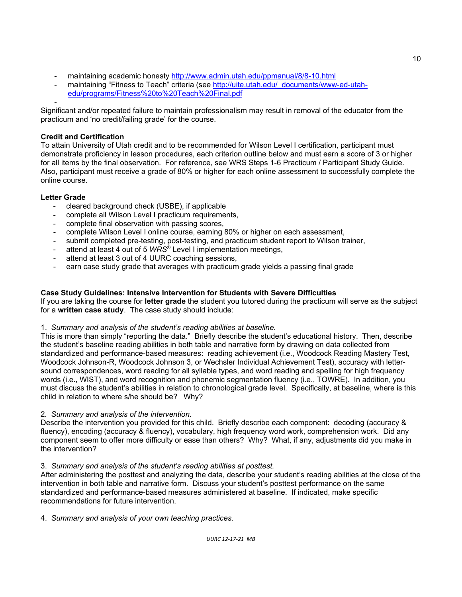- maintaining academic honesty [http://www.admin.utah.edu/ppmanual/8/8-10.html](https://www.umail.utah.edu/owa/redir.aspx?SURL=7Mj-xgjJprW-8_KDoihWGZU8QkpgPuZ5ejhyXDEDdfWoIO8poJfSCGgAdAB0AHAAOgAvAC8AdwB3AHcALgBhAGQAbQBpAG4ALgB1AHQAYQBoAC4AZQBkAHUALwBwAHAAbQBhAG4AdQBhAGwALwA4AC8AOAAtADEAMAAuAGgAdABtAGwA&URL=http%3a%2f%2fwww.admin.utah.edu%2fppmanual%2f8%2f8-10.html)
- maintaining "Fitness to Teach" criteria (see [http://uite.utah.edu/\\_documents/www-ed-utah](http://uite.utah.edu/_documents/www-ed-utah-edu/programs/Fitness%20to%20Teach%20Final.pdf)[edu/programs/Fitness%20to%20Teach%20Final.pdf](http://uite.utah.edu/_documents/www-ed-utah-edu/programs/Fitness%20to%20Teach%20Final.pdf)

- Significant and/or repeated failure to maintain professionalism may result in removal of the educator from the practicum and 'no credit/failing grade' for the course.

## **Credit and Certification**

To attain University of Utah credit and to be recommended for Wilson Level I certification, participant must demonstrate proficiency in lesson procedures, each criterion outline below and must earn a score of 3 or higher for all items by the final observation. For reference, see WRS Steps 1-6 Practicum / Participant Study Guide. Also, participant must receive a grade of 80% or higher for each online assessment to successfully complete the online course.

# **Letter Grade**

- cleared background check (USBE), if applicable
- complete all Wilson Level I practicum requirements,
- complete final observation with passing scores,
- complete Wilson Level I online course, earning 80% or higher on each assessment,
- submit completed pre-testing, post-testing, and practicum student report to Wilson trainer,
- attend at least 4 out of 5 *WRS*® Level I implementation meetings,
- attend at least 3 out of 4 UURC coaching sessions,
- earn case study grade that averages with practicum grade yields a passing final grade

## **Case Study Guidelines: Intensive Intervention for Students with Severe Difficulties**

If you are taking the course for **letter grade** the student you tutored during the practicum will serve as the subject for a **written case study**. The case study should include:

### 1. *Summary and analysis of the student's reading abilities at baseline.*

This is more than simply "reporting the data." Briefly describe the student's educational history. Then, describe the student's baseline reading abilities in both table and narrative form by drawing on data collected from standardized and performance-based measures: reading achievement (i.e., Woodcock Reading Mastery Test, Woodcock Johnson-R, Woodcock Johnson 3, or Wechsler Individual Achievement Test), accuracy with lettersound correspondences, word reading for all syllable types, and word reading and spelling for high frequency words (i.e., WIST), and word recognition and phonemic segmentation fluency (i.e., TOWRE). In addition, you must discuss the student's abilities in relation to chronological grade level. Specifically, at baseline, where is this child in relation to where s/he should be? Why?

### 2*. Summary and analysis of the intervention.*

Describe the intervention you provided for this child. Briefly describe each component: decoding (accuracy & fluency), encoding (accuracy & fluency), vocabulary, high frequency word work, comprehension work. Did any component seem to offer more difficulty or ease than others? Why? What, if any, adjustments did you make in the intervention?

### 3. *Summary and analysis of the student's reading abilities at posttest.*

After administering the posttest and analyzing the data, describe your student's reading abilities at the close of the intervention in both table and narrative form. Discuss your student's posttest performance on the same standardized and performance-based measures administered at baseline. If indicated, make specific recommendations for future intervention.

## 4. *Summary and analysis of your own teaching practices.*